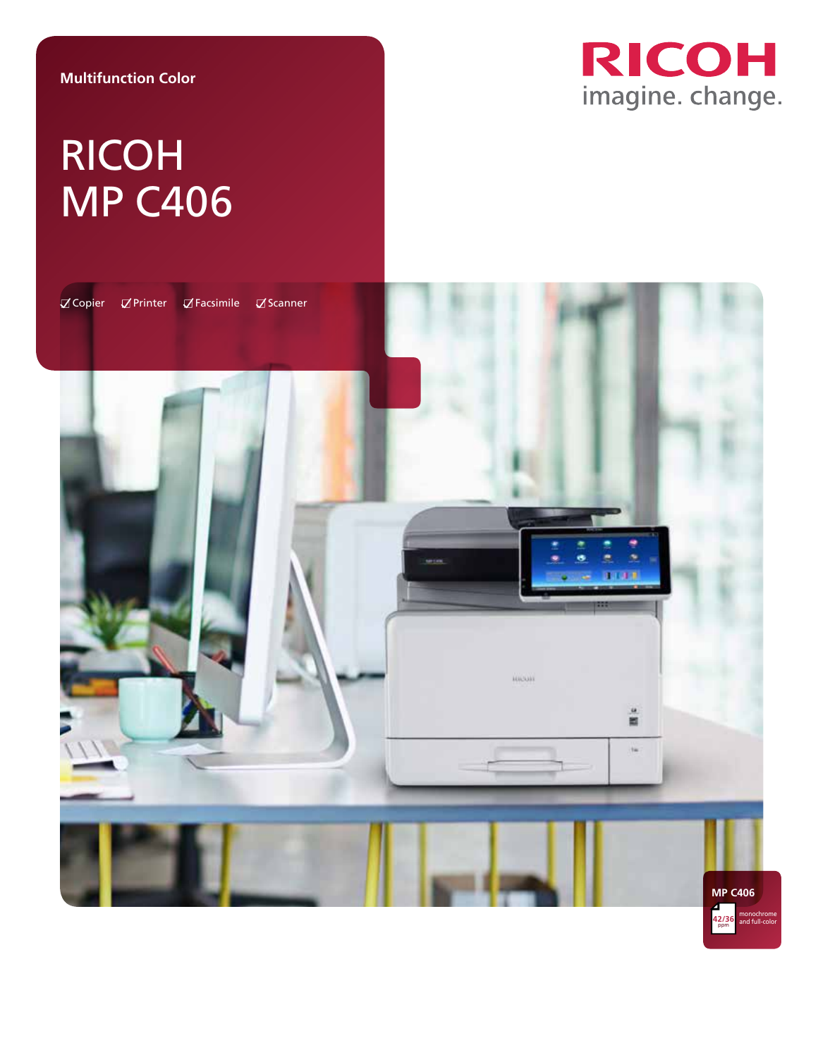#### **Multifunction Color**



# RICOH MP C406

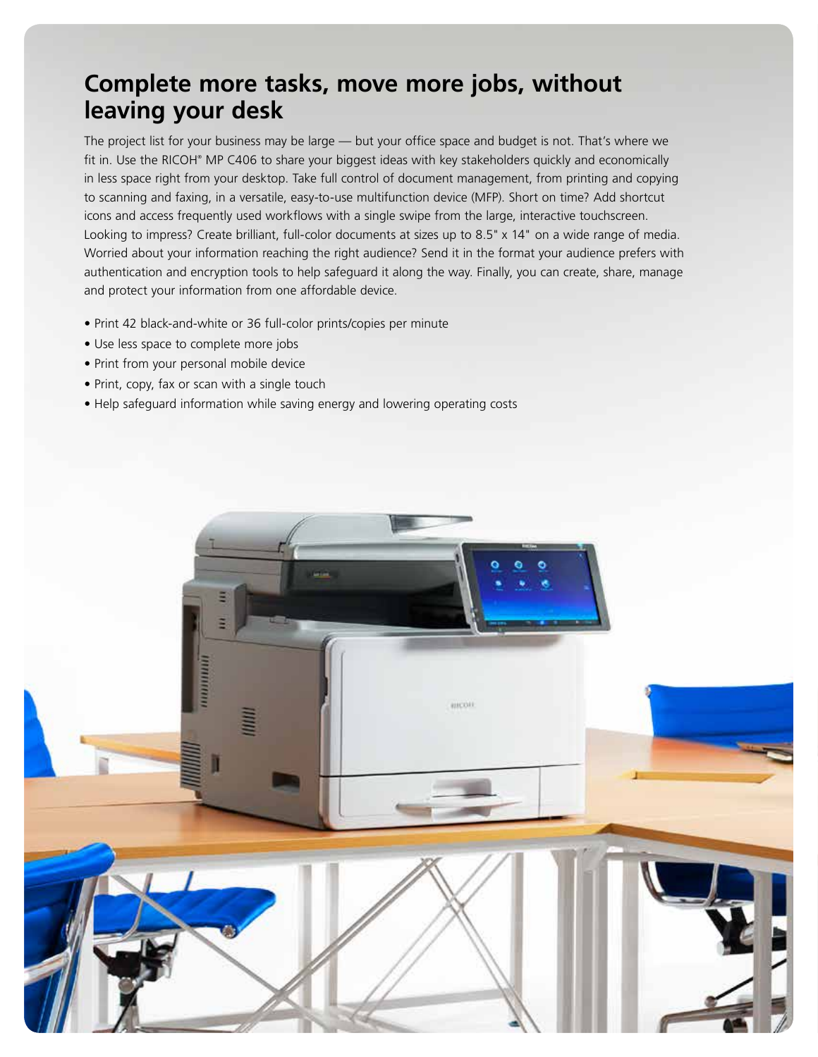## **Complete more tasks, move more jobs, without leaving your desk**

The project list for your business may be large — but your office space and budget is not. That's where we fit in. Use the RICOH® MP C406 to share your biggest ideas with key stakeholders quickly and economically in less space right from your desktop. Take full control of document management, from printing and copying to scanning and faxing, in a versatile, easy-to-use multifunction device (MFP). Short on time? Add shortcut icons and access frequently used workflows with a single swipe from the large, interactive touchscreen. Looking to impress? Create brilliant, full-color documents at sizes up to 8.5" x 14" on a wide range of media. Worried about your information reaching the right audience? Send it in the format your audience prefers with authentication and encryption tools to help safeguard it along the way. Finally, you can create, share, manage and protect your information from one affordable device.

- Print 42 black-and-white or 36 full-color prints/copies per minute
- Use less space to complete more jobs
- Print from your personal mobile device
- Print, copy, fax or scan with a single touch
- Help safeguard information while saving energy and lowering operating costs

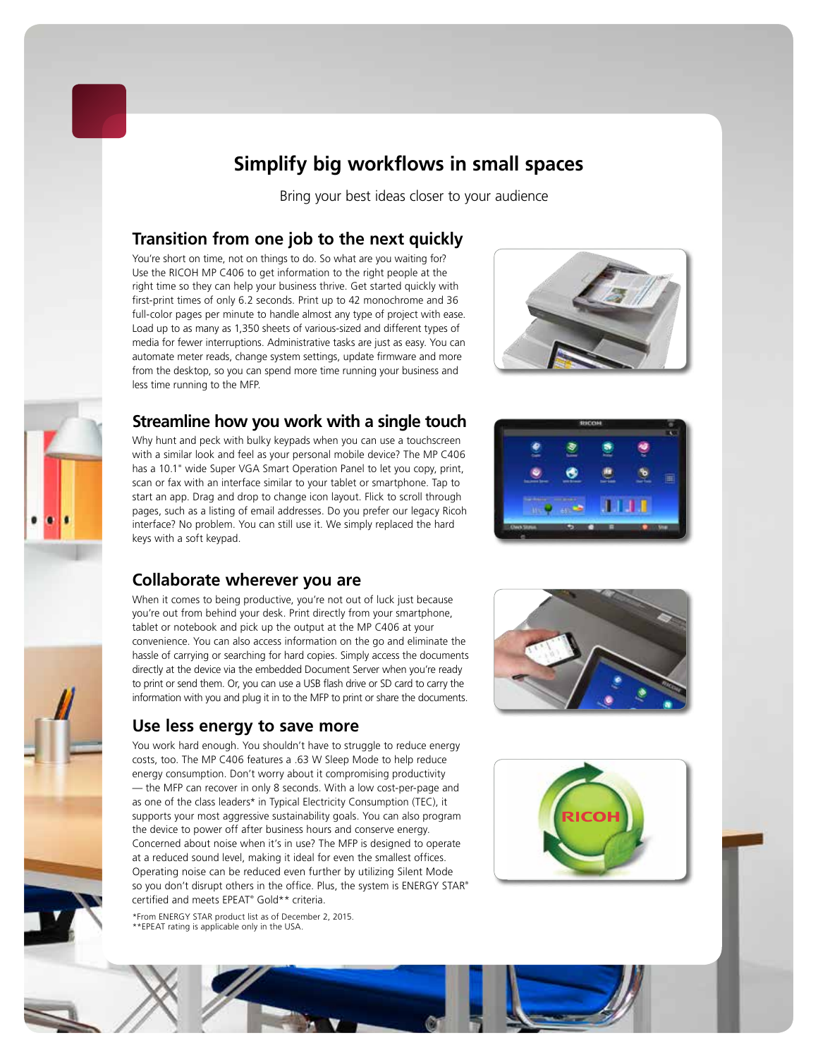

### **Simplify big workflows in small spaces**

Bring your best ideas closer to your audience

#### **Transition from one job to the next quickly**

You're short on time, not on things to do. So what are you waiting for? Use the RICOH MP C406 to get information to the right people at the right time so they can help your business thrive. Get started quickly with first-print times of only 6.2 seconds. Print up to 42 monochrome and 36 full-color pages per minute to handle almost any type of project with ease. Load up to as many as 1,350 sheets of various-sized and different types of media for fewer interruptions. Administrative tasks are just as easy. You can automate meter reads, change system settings, update firmware and more from the desktop, so you can spend more time running your business and less time running to the MFP.





### **Streamline how you work with a single touch**

Why hunt and peck with bulky keypads when you can use a touchscreen with a similar look and feel as your personal mobile device? The MP C406 has a 10.1" wide Super VGA Smart Operation Panel to let you copy, print, scan or fax with an interface similar to your tablet or smartphone. Tap to start an app. Drag and drop to change icon layout. Flick to scroll through pages, such as a listing of email addresses. Do you prefer our legacy Ricoh interface? No problem. You can still use it. We simply replaced the hard keys with a soft keypad.



#### **Collaborate wherever you are**

When it comes to being productive, you're not out of luck just because you're out from behind your desk. Print directly from your smartphone, tablet or notebook and pick up the output at the MP C406 at your convenience. You can also access information on the go and eliminate the hassle of carrying or searching for hard copies. Simply access the documents directly at the device via the embedded Document Server when you're ready to print or send them. Or, you can use a USB flash drive or SD card to carry the information with you and plug it in to the MFP to print or share the documents.

#### **Use less energy to save more**

You work hard enough. You shouldn't have to struggle to reduce energy costs, too. The MP C406 features a .63 W Sleep Mode to help reduce energy consumption. Don't worry about it compromising productivity — the MFP can recover in only 8 seconds. With a low cost-per-page and as one of the class leaders\* in Typical Electricity Consumption (TEC), it supports your most aggressive sustainability goals. You can also program the device to power off after business hours and conserve energy. Concerned about noise when it's in use? The MFP is designed to operate at a reduced sound level, making it ideal for even the smallest offices. Operating noise can be reduced even further by utilizing Silent Mode so you don't disrupt others in the office. Plus, the system is ENERGY STAR® certified and meets EPEAT® Gold\*\* criteria.

\*From ENERGY STAR product list as of December 2, 2015. \*\*EPEAT rating is applicable only in the USA.





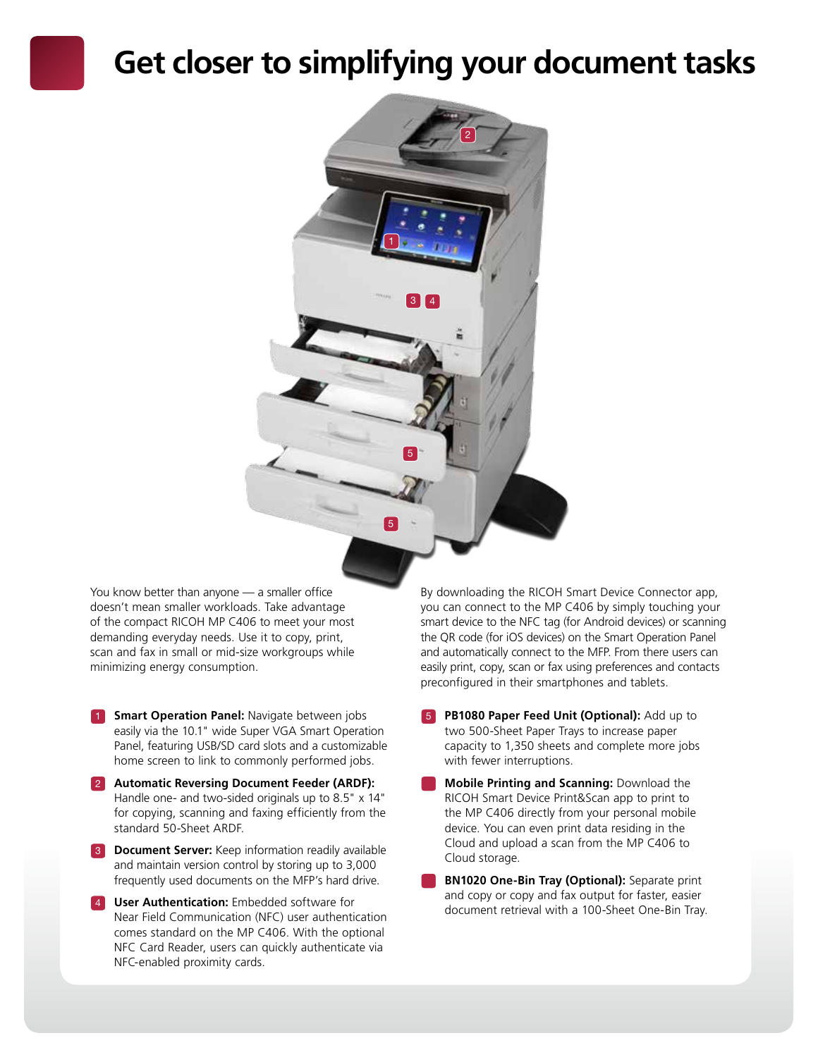## **Get closer to simplifying your document tasks**



You know better than anyone — a smaller office doesn't mean smaller workloads. Take advantage of the compact RICOH MP C406 to meet your most demanding everyday needs. Use it to copy, print, scan and fax in small or mid-size workgroups while minimizing energy consumption.

- **1 Smart Operation Panel:** Navigate between jobs easily via the 10.1" wide Super VGA Smart Operation Panel, featuring USB/SD card slots and a customizable home screen to link to commonly performed jobs.
- 2 **Automatic Reversing Document Feeder (ARDF):**  Handle one- and two-sided originals up to 8.5" x 14" for copying, scanning and faxing efficiently from the standard 50-Sheet ARDF.
- **3 Document Server:** Keep information readily available and maintain version control by storing up to 3,000 frequently used documents on the MFP's hard drive.
- **4 User Authentication:** Embedded software for Near Field Communication (NFC) user authentication comes standard on the MP C406. With the optional NFC Card Reader, users can quickly authenticate via NFC-enabled proximity cards.

By downloading the RICOH Smart Device Connector app, you can connect to the MP C406 by simply touching your smart device to the NFC tag (for Android devices) or scanning the QR code (for iOS devices) on the Smart Operation Panel and automatically connect to the MFP. From there users can easily print, copy, scan or fax using preferences and contacts preconfigured in their smartphones and tablets.

- **PB1080 Paper Feed Unit (Optional):** Add up to two 500-Sheet Paper Trays to increase paper capacity to 1,350 sheets and complete more jobs with fewer interruptions.
- **Mobile Printing and Scanning:** Download the RICOH Smart Device Print&Scan app to print to the MP C406 directly from your personal mobile device. You can even print data residing in the Cloud and upload a scan from the MP C406 to Cloud storage.
- **BN1020 One-Bin Tray (Optional):** Separate print and copy or copy and fax output for faster, easier document retrieval with a 100-Sheet One-Bin Tray.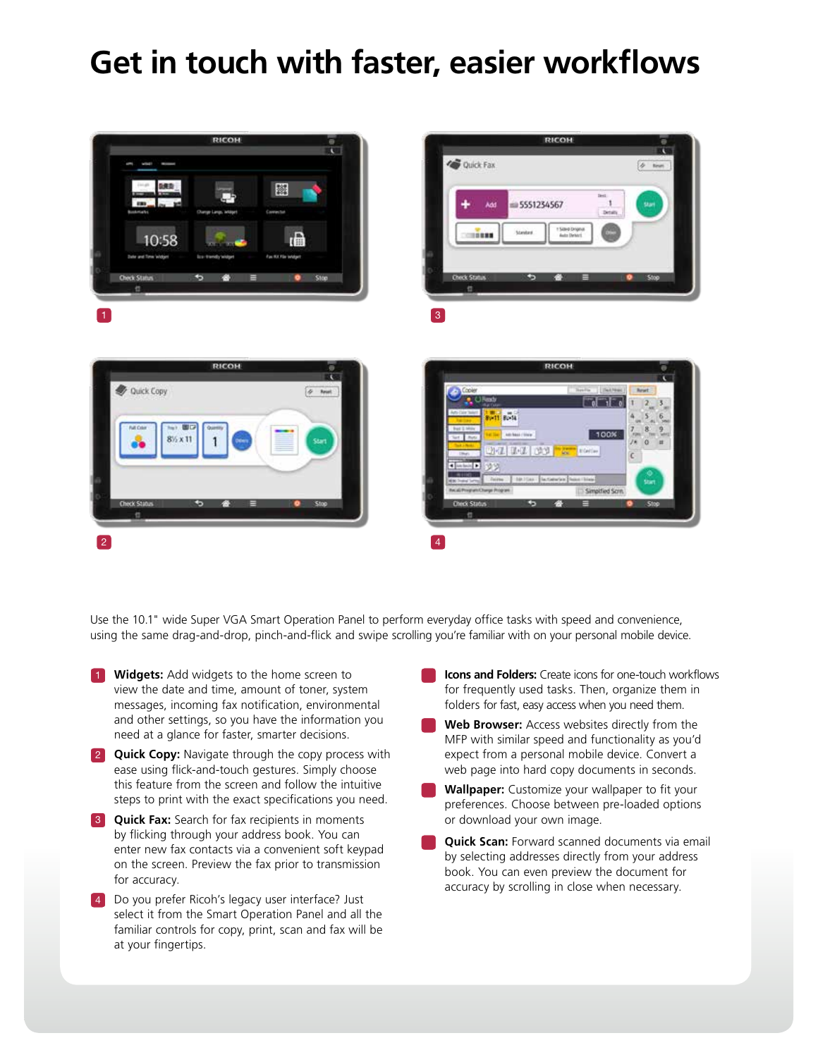## **Get in touch with faster, easier workflows**



Use the 10.1" wide Super VGA Smart Operation Panel to perform everyday office tasks with speed and convenience, using the same drag-and-drop, pinch-and-flick and swipe scrolling you're familiar with on your personal mobile device.

- **1 Widgets:** Add widgets to the home screen to view the date and time, amount of toner, system messages, incoming fax notification, environmental and other settings, so you have the information you need at a glance for faster, smarter decisions.
- **2 Quick Copy:** Navigate through the copy process with ease using flick-and-touch gestures. Simply choose this feature from the screen and follow the intuitive steps to print with the exact specifications you need.
- **3 Quick Fax:** Search for fax recipients in moments by flicking through your address book. You can enter new fax contacts via a convenient soft keypad on the screen. Preview the fax prior to transmission for accuracy.
- **4** Do you prefer Ricoh's legacy user interface? Just select it from the Smart Operation Panel and all the familiar controls for copy, print, scan and fax will be at your fingertips.
- **Icons and Folders:** Create icons for one-touch workflows for frequently used tasks. Then, organize them in folders for fast, easy access when you need them.
- **Web Browser:** Access websites directly from the MFP with similar speed and functionality as you'd expect from a personal mobile device. Convert a web page into hard copy documents in seconds.
- **Wallpaper:** Customize your wallpaper to fit your preferences. Choose between pre-loaded options or download your own image.
- **Quick Scan:** Forward scanned documents via email by selecting addresses directly from your address book. You can even preview the document for accuracy by scrolling in close when necessary.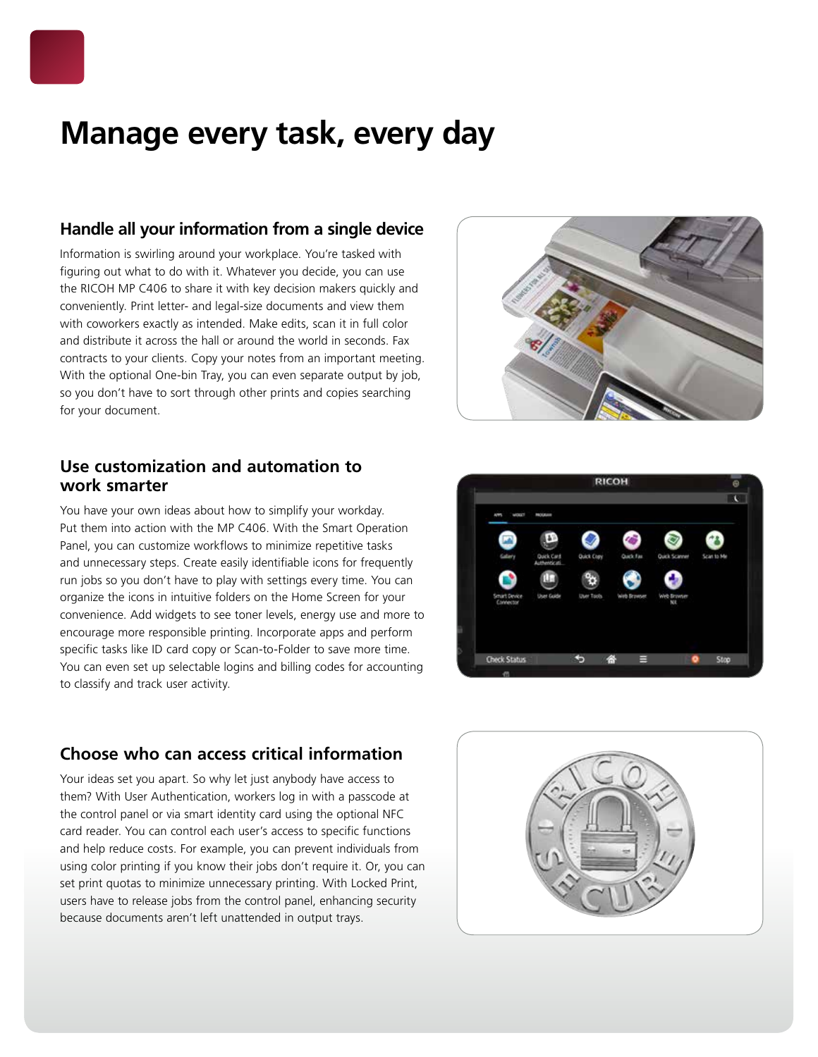

## **Manage every task, every day**

#### **Handle all your information from a single device**

Information is swirling around your workplace. You're tasked with figuring out what to do with it. Whatever you decide, you can use the RICOH MP C406 to share it with key decision makers quickly and conveniently. Print letter- and legal-size documents and view them with coworkers exactly as intended. Make edits, scan it in full color and distribute it across the hall or around the world in seconds. Fax contracts to your clients. Copy your notes from an important meeting. With the optional One-bin Tray, you can even separate output by job, so you don't have to sort through other prints and copies searching for your document.

#### **Use customization and automation to work smarter**

You have your own ideas about how to simplify your workday. Put them into action with the MP C406. With the Smart Operation Panel, you can customize workflows to minimize repetitive tasks and unnecessary steps. Create easily identifiable icons for frequently run jobs so you don't have to play with settings every time. You can organize the icons in intuitive folders on the Home Screen for your convenience. Add widgets to see toner levels, energy use and more to encourage more responsible printing. Incorporate apps and perform specific tasks like ID card copy or Scan-to-Folder to save more time. You can even set up selectable logins and billing codes for accounting to classify and track user activity.

### **Choose who can access critical information**

Your ideas set you apart. So why let just anybody have access to them? With User Authentication, workers log in with a passcode at the control panel or via smart identity card using the optional NFC card reader. You can control each user's access to specific functions and help reduce costs. For example, you can prevent individuals from using color printing if you know their jobs don't require it. Or, you can set print quotas to minimize unnecessary printing. With Locked Print, users have to release jobs from the control panel, enhancing security because documents aren't left unattended in output trays.





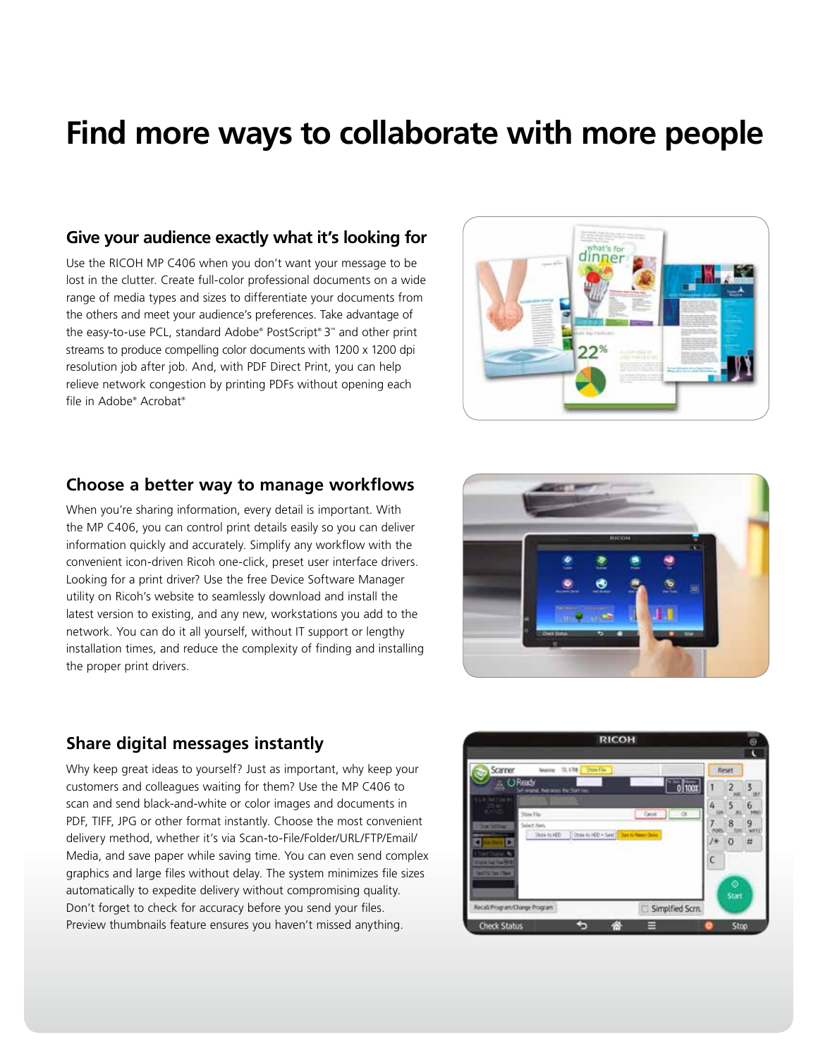## **Find more ways to collaborate with more people**

#### **Give your audience exactly what it's looking for**

Use the RICOH MP C406 when you don't want your message to be lost in the clutter. Create full-color professional documents on a wide range of media types and sizes to differentiate your documents from the others and meet your audience's preferences. Take advantage of the easy-to-use PCL, standard Adobe® PostScript® 3™ and other print streams to produce compelling color documents with 1200 x 1200 dpi resolution job after job. And, with PDF Direct Print, you can help relieve network congestion by printing PDFs without opening each file in Adobe® Acrobat®



#### **Choose a better way to manage workflows**

When you're sharing information, every detail is important. With the MP C406, you can control print details easily so you can deliver information quickly and accurately. Simplify any workflow with the convenient icon-driven Ricoh one-click, preset user interface drivers. Looking for a print driver? Use the free Device Software Manager utility on Ricoh's website to seamlessly download and install the latest version to existing, and any new, workstations you add to the network. You can do it all yourself, without IT support or lengthy installation times, and reduce the complexity of finding and installing the proper print drivers.



### **Share digital messages instantly**

Why keep great ideas to yourself? Just as important, why keep your customers and colleagues waiting for them? Use the MP C406 to scan and send black-and-white or color images and documents in PDF, TIFF, JPG or other format instantly. Choose the most convenient delivery method, whether it's via Scan-to-File/Folder/URL/FTP/Email/ Media, and save paper while saving time. You can even send complex graphics and large files without delay. The system minimizes file sizes automatically to expedite delivery without compromising quality. Don't forget to check for accuracy before you send your files. Preview thumbnails feature ensures you haven't missed anything.